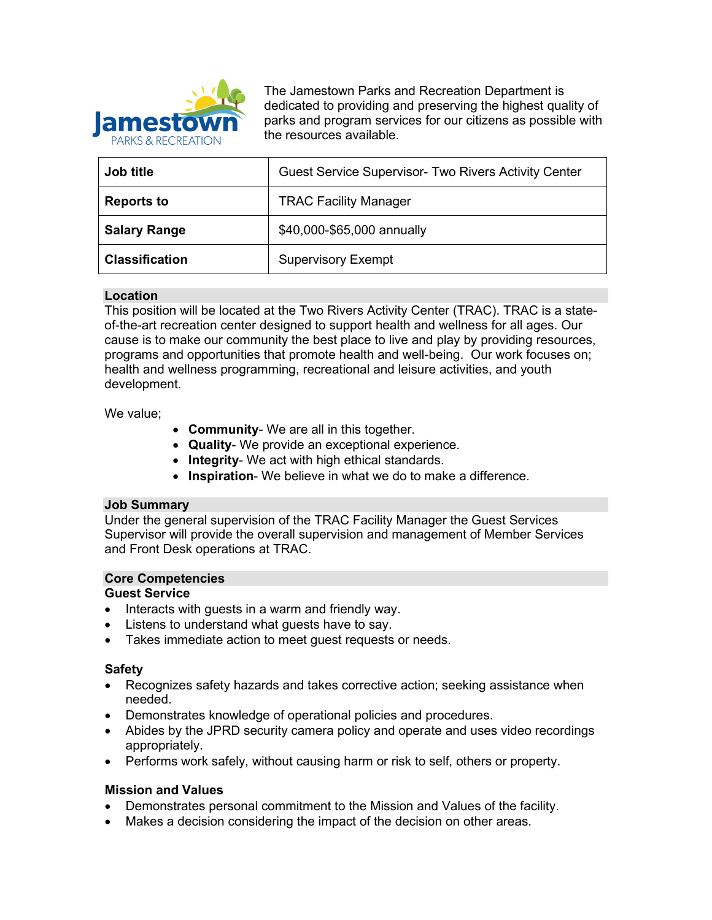

The Jamestown Parks and Recreation Department is dedicated to providing and preserving the highest quality of parks and program services for our citizens as possible with the resources available.

| Job title             | <b>Guest Service Supervisor- Two Rivers Activity Center</b> |
|-----------------------|-------------------------------------------------------------|
| <b>Reports to</b>     | <b>TRAC Facility Manager</b>                                |
| <b>Salary Range</b>   | \$40,000-\$65,000 annually                                  |
| <b>Classification</b> | <b>Supervisory Exempt</b>                                   |

### **Location**

This position will be located at the Two Rivers Activity Center (TRAC). TRAC is a stateof-the-art recreation center designed to support health and wellness for all ages. Our cause is to make our community the best place to live and play by providing resources, programs and opportunities that promote health and well-being. Our work focuses on; health and wellness programming, recreational and leisure activities, and youth development.

We value;

- **Community** We are all in this together.
- **Quality** We provide an exceptional experience.
- **Integrity** We act with high ethical standards.
- **Inspiration** We believe in what we do to make a difference.

### **Job Summary**

Under the general supervision of the TRAC Facility Manager the Guest Services Supervisor will provide the overall supervision and management of Member Services and Front Desk operations at TRAC.

## **Core Competencies**

## **Guest Service**

- Interacts with guests in a warm and friendly way.
- Listens to understand what guests have to say.
- Takes immediate action to meet quest requests or needs.

### **Safety**

- Recognizes safety hazards and takes corrective action; seeking assistance when needed.
- Demonstrates knowledge of operational policies and procedures.
- Abides by the JPRD security camera policy and operate and uses video recordings appropriately.
- Performs work safely, without causing harm or risk to self, others or property.

### **Mission and Values**

- Demonstrates personal commitment to the Mission and Values of the facility.
- Makes a decision considering the impact of the decision on other areas.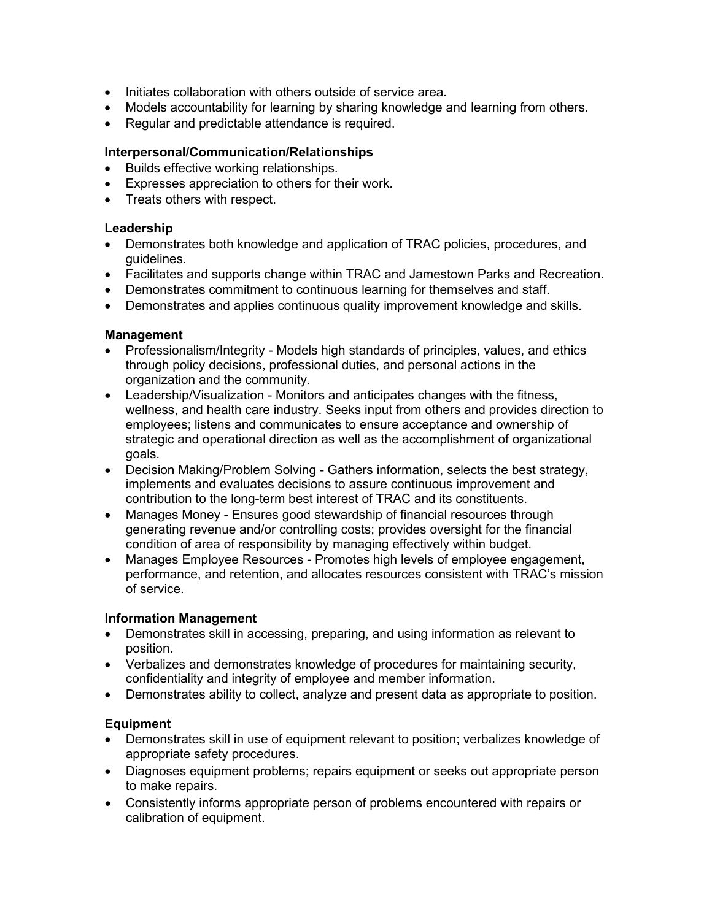- Initiates collaboration with others outside of service area.
- Models accountability for learning by sharing knowledge and learning from others.
- Regular and predictable attendance is required.

# **Interpersonal/Communication/Relationships**

- Builds effective working relationships.
- Expresses appreciation to others for their work.
- Treats others with respect.

# **Leadership**

- Demonstrates both knowledge and application of TRAC policies, procedures, and guidelines.
- Facilitates and supports change within TRAC and Jamestown Parks and Recreation.
- Demonstrates commitment to continuous learning for themselves and staff.
- Demonstrates and applies continuous quality improvement knowledge and skills.

# **Management**

- Professionalism/Integrity Models high standards of principles, values, and ethics through policy decisions, professional duties, and personal actions in the organization and the community.
- Leadership/Visualization Monitors and anticipates changes with the fitness, wellness, and health care industry. Seeks input from others and provides direction to employees; listens and communicates to ensure acceptance and ownership of strategic and operational direction as well as the accomplishment of organizational goals.
- Decision Making/Problem Solving Gathers information, selects the best strategy, implements and evaluates decisions to assure continuous improvement and contribution to the long-term best interest of TRAC and its constituents.
- Manages Money Ensures good stewardship of financial resources through generating revenue and/or controlling costs; provides oversight for the financial condition of area of responsibility by managing effectively within budget.
- Manages Employee Resources Promotes high levels of employee engagement, performance, and retention, and allocates resources consistent with TRAC's mission of service.

# **Information Management**

- Demonstrates skill in accessing, preparing, and using information as relevant to position.
- Verbalizes and demonstrates knowledge of procedures for maintaining security, confidentiality and integrity of employee and member information.
- Demonstrates ability to collect, analyze and present data as appropriate to position.

# **Equipment**

- Demonstrates skill in use of equipment relevant to position; verbalizes knowledge of appropriate safety procedures.
- Diagnoses equipment problems; repairs equipment or seeks out appropriate person to make repairs.
- Consistently informs appropriate person of problems encountered with repairs or calibration of equipment.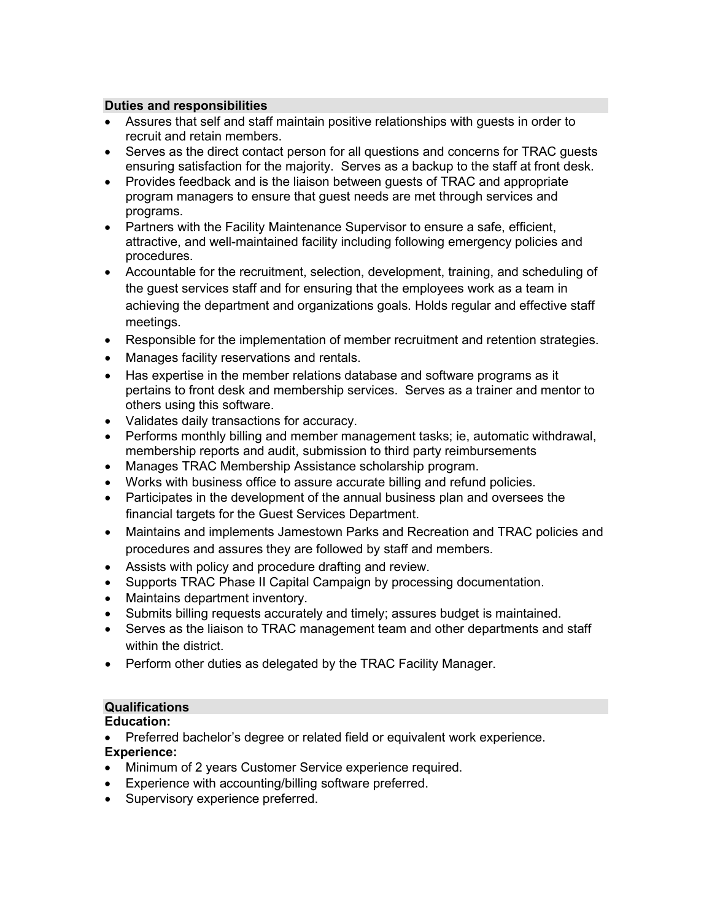## **Duties and responsibilities**

- Assures that self and staff maintain positive relationships with guests in order to recruit and retain members.
- Serves as the direct contact person for all questions and concerns for TRAC guests ensuring satisfaction for the majority. Serves as a backup to the staff at front desk.
- Provides feedback and is the liaison between guests of TRAC and appropriate program managers to ensure that guest needs are met through services and programs.
- Partners with the Facility Maintenance Supervisor to ensure a safe, efficient, attractive, and well-maintained facility including following emergency policies and procedures.
- Accountable for the recruitment, selection, development, training, and scheduling of the guest services staff and for ensuring that the employees work as a team in achieving the department and organizations goals. Holds regular and effective staff meetings.
- Responsible for the implementation of member recruitment and retention strategies.
- Manages facility reservations and rentals.
- Has expertise in the member relations database and software programs as it pertains to front desk and membership services. Serves as a trainer and mentor to others using this software.
- Validates daily transactions for accuracy.
- Performs monthly billing and member management tasks; ie, automatic withdrawal, membership reports and audit, submission to third party reimbursements
- Manages TRAC Membership Assistance scholarship program.
- Works with business office to assure accurate billing and refund policies.
- Participates in the development of the annual business plan and oversees the financial targets for the Guest Services Department.
- Maintains and implements Jamestown Parks and Recreation and TRAC policies and procedures and assures they are followed by staff and members.
- Assists with policy and procedure drafting and review.
- Supports TRAC Phase II Capital Campaign by processing documentation.
- Maintains department inventory.
- Submits billing requests accurately and timely; assures budget is maintained.
- Serves as the liaison to TRAC management team and other departments and staff within the district.
- Perform other duties as delegated by the TRAC Facility Manager.

### **Qualifications**

### **Education:**

- Preferred bachelor's degree or related field or equivalent work experience. **Experience:**
- Minimum of 2 years Customer Service experience required.
- Experience with accounting/billing software preferred.
- Supervisory experience preferred.